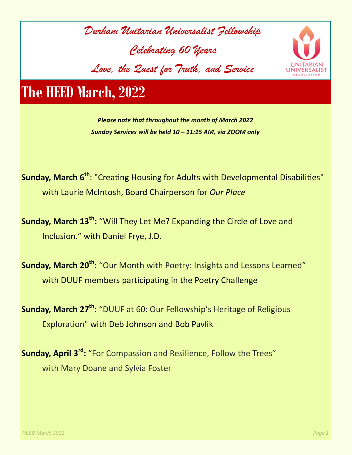



# **The HEED March, 2022**

*Please note that throughout the month of March 2022 Sunday Services will be held 10 – 11:15 AM, via ZOOM only* 

**Sunday, March 6th** : "Creating Housing for Adults with Developmental Disabilities" with Laurie McIntosh, Board Chairperson for *Our Place*

**Sunday, March 13th:** "Will They Let Me? Expanding the Circle of Love and Inclusion." with Daniel Frye, J.D.

**Sunday, March 20th** : "Our Month with Poetry: Insights and Lessons Learned" with DUUF members participating in the Poetry Challenge

**Sunday, March 27th** : "DUUF at 60: Our Fellowship's Heritage of Religious Exploration" with Deb Johnson and Bob Pavlik

**Sunday, April 3<sup>rd</sup>:** "For Compassion and Resilience, Follow the Trees" with Mary Doane and Sylvia Foster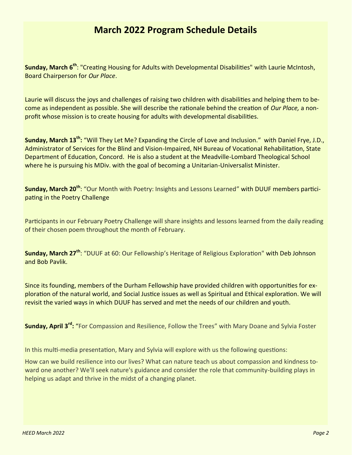### **March 2022 Program Schedule Details**

**Sunday, March 6th** : "Creating Housing for Adults with Developmental Disabilities" with Laurie McIntosh, Board Chairperson for *Our Place*.

Laurie will discuss the joys and challenges of raising two children with disabilities and helping them to become as independent as possible. She will describe the rationale behind the creation of *Our Place,* a nonprofit whose mission is to create housing for adults with developmental disabilities.

**Sunday, March 13th :** "Will They Let Me? Expanding the Circle of Love and Inclusion." with Daniel Frye, J.D., Administrator of Services for the Blind and Vision-Impaired, NH Bureau of Vocational Rehabilitation, State Department of Education, Concord. He is also a student at the Meadville-Lombard Theological School where he is pursuing his MDiv. with the goal of becoming a Unitarian-Universalist Minister.

**Sunday, March 20th** : "Our Month with Poetry: Insights and Lessons Learned" with DUUF members participating in the Poetry Challenge

Participants in our February Poetry Challenge will share insights and lessons learned from the daily reading of their chosen poem throughout the month of February.

**Sunday, March 27th** : "DUUF at 60: Our Fellowship's Heritage of Religious Exploration" with Deb Johnson and Bob Pavlik.

Since its founding, members of the Durham Fellowship have provided children with opportunities for exploration of the natural world, and Social Justice issues as well as Spiritual and Ethical exploration. We will revisit the varied ways in which DUUF has served and met the needs of our children and youth.

**Sunday, April 3rd :** "For Compassion and Resilience, Follow the Trees" with Mary Doane and Sylvia Foster

In this multi-media presentation, Mary and Sylvia will explore with us the following questions:

How can we build resilience into our lives? What can nature teach us about compassion and kindness toward one another? We'll seek nature's guidance and consider the role that community-building plays in helping us adapt and thrive in the midst of a changing planet.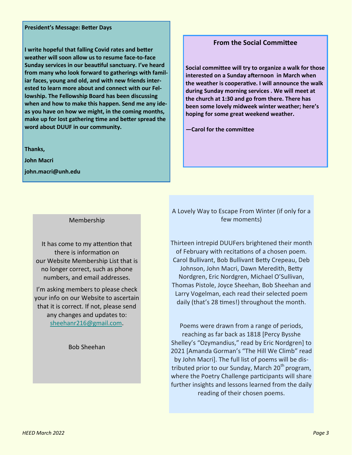#### **President's Message: Better Days**

**I write hopeful that falling Covid rates and better weather will soon allow us to resume face-to-face Sunday services in our beautiful sanctuary. I've heard from many who look forward to gatherings with familiar faces, young and old, and with new friends interested to learn more about and connect with our Fellowship. The Fellowship Board has been discussing when and how to make this happen. Send me any ideas you have on how we might, in the coming months, make up for lost gathering time and better spread the word about DUUF in our community.**

**Thanks,**

**John Macri**

**john.macri@unh.edu**

### **From the Social Committee**

**Social committee will try to organize a walk for those interested on a Sunday afternoon in March when the weather is cooperative. I will announce the walk during Sunday morning services . We will meet at the church at 1:30 and go from there. There has been some lovely midweek winter weather; here's hoping for some great weekend weather.** 

**—Carol for the committee** 

#### Membership

It has come to my attention that there is information on our Website Membership List that is no longer correct, such as phone numbers, and email addresses.

I'm asking members to please check your info on our Website to ascertain that it is correct. If not, please send any changes and updates to: [sheehanr216@gmail.com.](mailto:sheehanr216@gmail.com)

Bob Sheehan

A Lovely Way to Escape From Winter (if only for a few moments)

Thirteen intrepid DUUFers brightened their month of February with recitations of a chosen poem. Carol Bullivant, Bob Bullivant Betty Crepeau, Deb Johnson, John Macri, Dawn Meredith, Betty Nordgren, Eric Nordgren, Michael O'Sullivan, Thomas Pistole, Joyce Sheehan, Bob Sheehan and Larry Vogelman, each read their selected poem daily (that's 28 times!) throughout the month.

Poems were drawn from a range of periods, reaching as far back as 1818 [Percy Bysshe Shelley's "Ozymandius," read by Eric Nordgren] to 2021 [Amanda Gorman's "The Hill We Climb" read by John Macri]. The full list of poems will be distributed prior to our Sunday, March  $20<sup>th</sup>$  program, where the Poetry Challenge participants will share further insights and lessons learned from the daily reading of their chosen poems.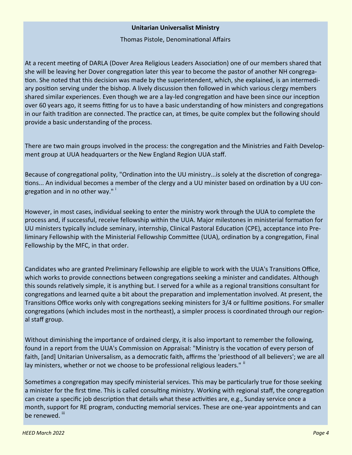### **Unitarian Universalist Ministry**

Thomas Pistole, Denominational Affairs

At a recent meeting of DARLA (Dover Area Religious Leaders Association) one of our members shared that she will be leaving her Dover congregation later this year to become the pastor of another NH congregation. She noted that this decision was made by the superintendent, which, she explained, is an intermediary position serving under the bishop. A lively discussion then followed in which various clergy members shared similar experiences. Even though we are a lay-led congregation and have been since our inception over 60 years ago, it seems fitting for us to have a basic understanding of how ministers and congregations in our faith tradition are connected. The practice can, at times, be quite complex but the following should provide a basic understanding of the process.

There are two main groups involved in the process: the congregation and the Ministries and Faith Development group at UUA headquarters or the New England Region UUA staff.

Because of congregational polity, "Ordination into the UU ministry...is solely at the discretion of congregations... An individual becomes a member of the clergy and a UU minister based on ordination by a UU congregation and in no other way."<sup>i</sup>

However, in most cases, individual seeking to enter the ministry work through the UUA to complete the process and, if successful, receive fellowship within the UUA. Major milestones in ministerial formation for UU ministers typically include seminary, internship, Clinical Pastoral Education (CPE), acceptance into Preliminary Fellowship with the Ministerial Fellowship Committee (UUA), ordination by a congregation, Final Fellowship by the MFC, in that order.

Candidates who are granted Preliminary Fellowship are eligible to work with the UUA's Transitions Office, which works to provide connections between congregations seeking a minister and candidates. Although this sounds relatively simple, it is anything but. I served for a while as a regional transitions consultant for congregations and learned quite a bit about the preparation and implementation involved. At present, the Transitions Office works only with congregations seeking ministers for 3/4 or fulltime positions. For smaller congregations (which includes most in the northeast), a simpler process is coordinated through our regional staff group.

Without diminishing the importance of ordained clergy, it is also important to remember the following, found in a report from the UUA's Commission on Appraisal: "Ministry is the vocation of every person of faith, [and] Unitarian Universalism, as a democratic faith, affirms the 'priesthood of all believers'; we are all lay ministers, whether or not we choose to be professional religious leaders."  $\mathsf{^{ii}}$ 

Sometimes a congregation may specify ministerial services. This may be particularly true for those seeking a minister for the first time. This is called consulting ministry. Working with regional staff, the congregation can create a specific job description that details what these activities are, e.g., Sunday service once a month, support for RE program, conducting memorial services. These are one-year appointments and can be renewed. iii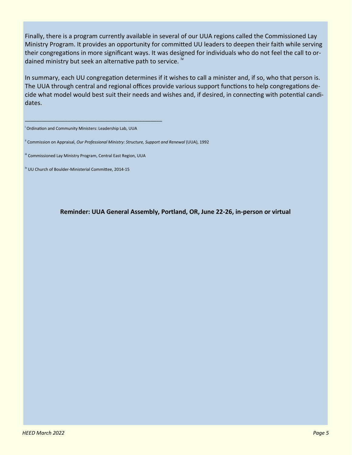Finally, there is a program currently available in several of our UUA regions called the Commissioned Lay Ministry Program. It provides an opportunity for committed UU leaders to deepen their faith while serving their congregations in more significant ways. It was designed for individuals who do not feel the call to ordained ministry but seek an alternative path to service. <sup>iv</sup>

In summary, each UU congregation determines if it wishes to call a minister and, if so, who that person is. The UUA through central and regional offices provide various support functions to help congregations decide what model would best suit their needs and wishes and, if desired, in connecting with potential candidates.

<sup>i</sup> Ordination and Community Ministers: Leadership Lab, UUA

\_\_\_\_\_\_\_\_\_\_\_\_\_\_\_\_\_\_\_\_\_\_\_\_\_\_\_\_\_\_\_\_\_\_\_\_\_\_\_\_\_\_\_\_\_\_\_\_

ii Commission on Appraisal, *Our Professional Ministry: Structure, Support and Renewal* (UUA), 1992

<sup>iii</sup> Commissioned Lay Ministry Program, Central East Region, UUA

iv UU Church of Boulder-Ministerial Committee, 2014-15

**Reminder: UUA General Assembly, Portland, OR, June 22-26, in-person or virtual**